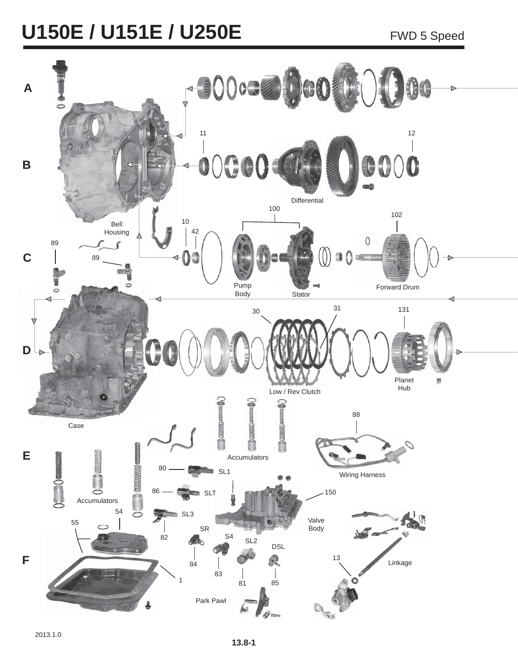# **U150E / U151E / U250E** FWD 5 Speed

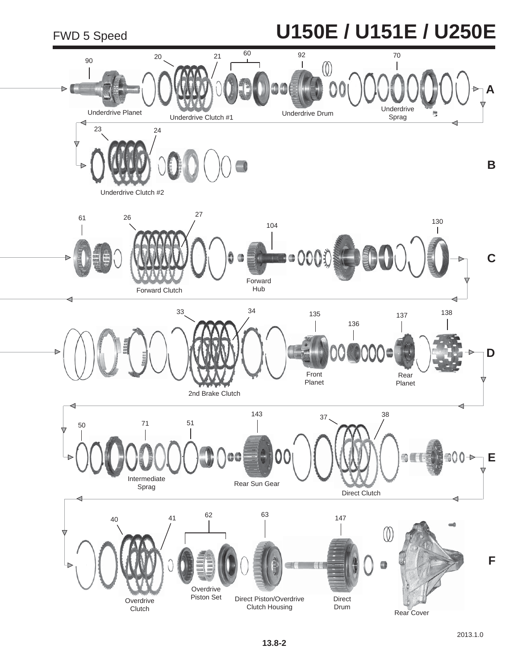## FWD 5 Speed **U150E / U151E / U250E**

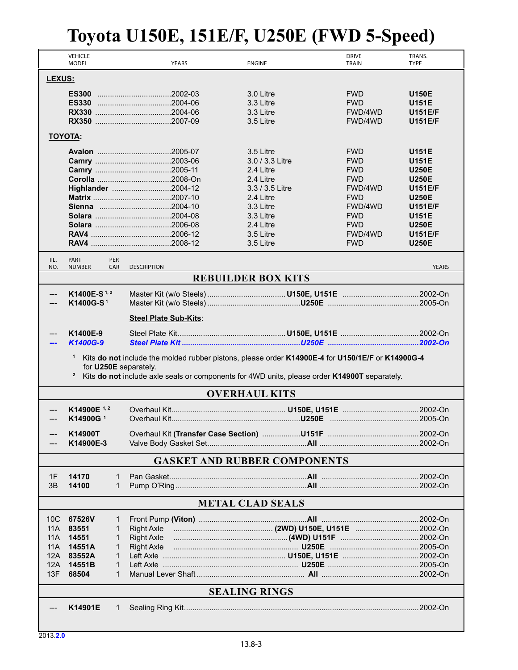|                                                                                                                                                                                                                                                        | <b>VEHICLE</b><br><b>MODEL</b>      | <b>YEARS</b>          | <b>ENGINE</b>                       | <b>DRIVE</b><br>TRAIN | TRANS.<br><b>TYPE</b> |  |
|--------------------------------------------------------------------------------------------------------------------------------------------------------------------------------------------------------------------------------------------------------|-------------------------------------|-----------------------|-------------------------------------|-----------------------|-----------------------|--|
| LEXUS:                                                                                                                                                                                                                                                 |                                     |                       |                                     |                       |                       |  |
|                                                                                                                                                                                                                                                        |                                     |                       | 3.0 Litre                           | <b>FWD</b>            | <b>U150E</b>          |  |
|                                                                                                                                                                                                                                                        |                                     |                       | 3.3 Litre                           | <b>FWD</b>            | <b>U151E</b>          |  |
|                                                                                                                                                                                                                                                        |                                     |                       | 3.3 Litre                           | FWD/4WD               | <b>U151E/F</b>        |  |
|                                                                                                                                                                                                                                                        |                                     |                       | 3.5 Litre                           | FWD/4WD               | <b>U151E/F</b>        |  |
|                                                                                                                                                                                                                                                        | <b>TOYOTA:</b>                      |                       |                                     |                       |                       |  |
|                                                                                                                                                                                                                                                        |                                     |                       | 3.5 Litre                           | <b>FWD</b>            | <b>U151E</b>          |  |
|                                                                                                                                                                                                                                                        |                                     |                       | 3.0 / 3.3 Litre                     | <b>FWD</b>            | <b>U151E</b>          |  |
|                                                                                                                                                                                                                                                        |                                     |                       | 2.4 Litre                           | <b>FWD</b>            | <b>U250E</b>          |  |
|                                                                                                                                                                                                                                                        |                                     |                       | 2.4 Litre                           | <b>FWD</b>            | <b>U250E</b>          |  |
|                                                                                                                                                                                                                                                        |                                     | Highlander 2004-12    | 3.3 / 3.5 Litre                     | FWD/4WD               | <b>U151E/F</b>        |  |
|                                                                                                                                                                                                                                                        |                                     |                       | 2.4 Litre                           | <b>FWD</b>            | <b>U250E</b>          |  |
|                                                                                                                                                                                                                                                        |                                     |                       | 3.3 Litre                           | FWD/4WD               | <b>U151E/F</b>        |  |
|                                                                                                                                                                                                                                                        |                                     |                       | 3.3 Litre                           | <b>FWD</b>            | <b>U151E</b>          |  |
|                                                                                                                                                                                                                                                        |                                     |                       | 2.4 Litre                           | <b>FWD</b>            | <b>U250E</b>          |  |
|                                                                                                                                                                                                                                                        |                                     |                       | 3.5 Litre                           | FWD/4WD               | <b>U151E/F</b>        |  |
|                                                                                                                                                                                                                                                        |                                     |                       | 3.5 Litre                           | <b>FWD</b>            | <b>U250E</b>          |  |
| IIL.<br>NO.                                                                                                                                                                                                                                            | PART<br>PER<br><b>NUMBER</b><br>CAR | <b>DESCRIPTION</b>    |                                     |                       | <b>YEARS</b>          |  |
|                                                                                                                                                                                                                                                        |                                     |                       | <b>REBUILDER BOX KITS</b>           |                       |                       |  |
| ---                                                                                                                                                                                                                                                    | K1400E-S <sup>1,2</sup>             |                       |                                     |                       |                       |  |
|                                                                                                                                                                                                                                                        | K1400G-S <sup>1</sup>               |                       |                                     |                       |                       |  |
|                                                                                                                                                                                                                                                        |                                     | Steel Plate Sub-Kits: |                                     |                       |                       |  |
|                                                                                                                                                                                                                                                        | K1400E-9                            |                       |                                     |                       |                       |  |
|                                                                                                                                                                                                                                                        | K1400G-9                            |                       |                                     |                       |                       |  |
| Kits do not include the molded rubber pistons, please order K14900E-4 for U150/1E/F or K14900G-4<br>$\mathbf{1}$<br>for U250E separately.<br><sup>2</sup> Kits do not include axle seals or components for 4WD units, please order K14900T separately. |                                     |                       |                                     |                       |                       |  |
|                                                                                                                                                                                                                                                        |                                     |                       | <b>OVERHAUL KITS</b>                |                       |                       |  |
|                                                                                                                                                                                                                                                        | K14900E $1,2$                       |                       |                                     |                       |                       |  |
|                                                                                                                                                                                                                                                        | K14900G <sup>1</sup>                |                       |                                     |                       |                       |  |
|                                                                                                                                                                                                                                                        | K14900T                             |                       |                                     |                       |                       |  |
|                                                                                                                                                                                                                                                        | K14900E-3                           |                       |                                     |                       |                       |  |
|                                                                                                                                                                                                                                                        |                                     |                       |                                     |                       |                       |  |
|                                                                                                                                                                                                                                                        |                                     |                       | <b>GASKET AND RUBBER COMPONENTS</b> |                       |                       |  |
| 1F                                                                                                                                                                                                                                                     | 14170<br>1                          |                       |                                     |                       |                       |  |
| 3B                                                                                                                                                                                                                                                     | 14100<br>1                          |                       |                                     |                       |                       |  |
| <b>METAL CLAD SEALS</b>                                                                                                                                                                                                                                |                                     |                       |                                     |                       |                       |  |
| 10 <sub>C</sub>                                                                                                                                                                                                                                        | 67526V<br>1                         |                       |                                     |                       |                       |  |
| 11A                                                                                                                                                                                                                                                    | 83551<br>1                          | <b>Right Axle</b>     |                                     |                       |                       |  |
| 11A                                                                                                                                                                                                                                                    | 14551<br>1                          | <b>Right Axle</b>     |                                     |                       |                       |  |
| 11A                                                                                                                                                                                                                                                    | 14551A<br>1                         | Right Axle            |                                     |                       |                       |  |
| 12A                                                                                                                                                                                                                                                    | 83552A<br>1                         |                       |                                     |                       |                       |  |
| 12A                                                                                                                                                                                                                                                    | 14551B<br>1                         |                       |                                     |                       |                       |  |
| 13F                                                                                                                                                                                                                                                    | 68504<br>1                          |                       |                                     |                       |                       |  |
| <b>SEALING RINGS</b>                                                                                                                                                                                                                                   |                                     |                       |                                     |                       |                       |  |
|                                                                                                                                                                                                                                                        | K14901E<br>1                        |                       |                                     |                       |                       |  |
|                                                                                                                                                                                                                                                        |                                     |                       |                                     |                       |                       |  |
|                                                                                                                                                                                                                                                        |                                     |                       |                                     |                       |                       |  |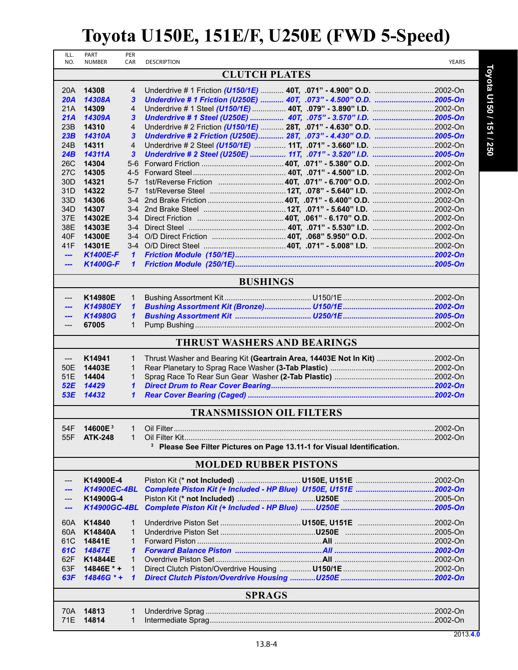| ILL.<br>NO.                     | PART<br><b>NUMBER</b> | PER<br>CAR     | <b>DESCRIPTION</b>                                                        |                                                                                    | YEARS   |  |
|---------------------------------|-----------------------|----------------|---------------------------------------------------------------------------|------------------------------------------------------------------------------------|---------|--|
|                                 |                       |                | <b>CLUTCH PLATES</b>                                                      |                                                                                    |         |  |
|                                 |                       |                |                                                                           |                                                                                    |         |  |
| 20A                             | 14308                 | 4              |                                                                           |                                                                                    |         |  |
| 20A                             | 14308A                | 3              | Underdrive # 1 Friction (U250E)  40T, .073" - 4.500" O.D. 2005-On         |                                                                                    |         |  |
| 21A<br>21A                      | 14309<br>14309A       | 4<br>3         | Underdrive # 1 Steel (U250E)  40T, .075" - 3.570" I.D. 2005-On            |                                                                                    |         |  |
| 23B                             | 14310                 | $\overline{4}$ |                                                                           |                                                                                    |         |  |
| 23B                             | 14310A                | 3              | Underdrive # 2 Friction (U250E) 28T, .073" - 4.430" O.D. 2005-On          |                                                                                    |         |  |
| 24 <sub>B</sub>                 | 14311                 | $\overline{4}$ |                                                                           |                                                                                    |         |  |
| 24B                             | 14311A                | $\mathbf{3}$   | Underdrive # 2 Steel (U250E)  11T, .071" - 3.520" I.D. 2005-On            |                                                                                    |         |  |
| 26C                             | 14304                 |                |                                                                           |                                                                                    |         |  |
| 27 <sub>C</sub>                 | 14305                 |                |                                                                           |                                                                                    |         |  |
| 30 <sub>D</sub>                 | 14321                 |                |                                                                           |                                                                                    |         |  |
| 31D                             | 14322                 | $5 - 7$        |                                                                           |                                                                                    |         |  |
| 33D                             | 14306                 |                |                                                                           |                                                                                    |         |  |
| 34D<br>37E                      | 14307<br>14302E       |                |                                                                           |                                                                                    |         |  |
| 38E                             | 14303E                |                |                                                                           |                                                                                    |         |  |
| 40F                             | 14300E                |                |                                                                           |                                                                                    |         |  |
| 41F                             | 14301E                |                |                                                                           |                                                                                    |         |  |
| $\overline{a}$                  | <b>K1400E-F</b>       | $\mathbf{1}$   |                                                                           |                                                                                    |         |  |
| ---                             | <b>K1400G-F</b>       | $\mathbf{1}$   |                                                                           |                                                                                    |         |  |
|                                 |                       |                |                                                                           |                                                                                    |         |  |
|                                 |                       |                | <b>BUSHINGS</b>                                                           |                                                                                    |         |  |
|                                 | K14980E               | $\mathbf{1}$   |                                                                           |                                                                                    |         |  |
|                                 | <b>K14980EY</b>       | $\mathbf{1}$   |                                                                           |                                                                                    |         |  |
|                                 | <b>K14980G</b>        | $\mathbf{1}$   |                                                                           |                                                                                    |         |  |
| ---                             | 67005                 | $\mathbf{1}$   |                                                                           |                                                                                    |         |  |
|                                 |                       |                |                                                                           |                                                                                    |         |  |
|                                 |                       |                | <b>THRUST WASHERS AND BEARINGS</b>                                        |                                                                                    |         |  |
| $---$                           | K14941                | $\mathbf{1}$   | Thrust Washer and Bearing Kit (Geartrain Area, 14403E Not In Kit) 2002-On |                                                                                    |         |  |
| 50E                             | 14403E                | $\mathbf{1}$   |                                                                           |                                                                                    |         |  |
| 51E                             | 14404                 | $\mathbf{1}$   |                                                                           |                                                                                    |         |  |
| 52E                             | 14429                 | $\mathbf{1}$   |                                                                           |                                                                                    |         |  |
| 53E                             | 14432                 | 1              |                                                                           |                                                                                    |         |  |
| <b>TRANSMISSION OIL FILTERS</b> |                       |                |                                                                           |                                                                                    |         |  |
| 54F                             | 14600E <sup>3</sup>   |                | 1 Oil Filter                                                              |                                                                                    | 2002-On |  |
|                                 | 55F ATK-248           | $\mathbf{1}$   |                                                                           |                                                                                    |         |  |
|                                 |                       |                |                                                                           | <sup>3</sup> Please See Filter Pictures on Page 13.11-1 for Visual Identification. |         |  |
|                                 |                       |                |                                                                           |                                                                                    |         |  |
|                                 |                       |                | <b>MOLDED RUBBER PISTONS</b>                                              |                                                                                    |         |  |
|                                 | K14900E-4             |                |                                                                           |                                                                                    |         |  |
|                                 | K14900EC-4BL          |                |                                                                           |                                                                                    |         |  |
|                                 | K14900G-4             |                |                                                                           |                                                                                    |         |  |
| ---                             | K14900GC-4BL          |                |                                                                           |                                                                                    |         |  |
| 60A                             | K14840                | 1              |                                                                           |                                                                                    |         |  |
| 60A                             | K14840A               | 1              |                                                                           |                                                                                    |         |  |
| 61C                             | 14841E                | 1              |                                                                           |                                                                                    |         |  |
| 61C                             | 14847E                | 1              |                                                                           |                                                                                    |         |  |
| 62F                             | K14844E               | $\mathbf{1}$   |                                                                           |                                                                                    |         |  |
| 63F                             | 14846E * +            | 1              |                                                                           |                                                                                    |         |  |
| 63F                             | 14846G * +            | $\mathbf{1}$   |                                                                           |                                                                                    |         |  |
| <b>SPRAGS</b>                   |                       |                |                                                                           |                                                                                    |         |  |
|                                 |                       |                |                                                                           |                                                                                    |         |  |
| 70A                             | 14813                 | 1              |                                                                           |                                                                                    |         |  |
| 71E                             | 14814                 | $\mathbf{1}$   |                                                                           |                                                                                    |         |  |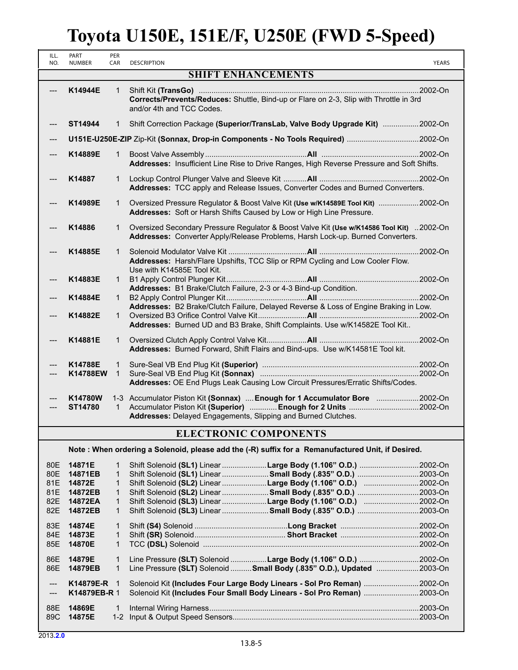| ILL.<br>NO. | PART<br><b>NUMBER</b>     | PER<br>CAR                   | <b>DESCRIPTION</b>                                                                                                                                                         | <b>YEARS</b> |  |
|-------------|---------------------------|------------------------------|----------------------------------------------------------------------------------------------------------------------------------------------------------------------------|--------------|--|
|             | <b>SHIFT ENHANCEMENTS</b> |                              |                                                                                                                                                                            |              |  |
|             | K14944E                   | 1                            | Corrects/Prevents/Reduces: Shuttle, Bind-up or Flare on 2-3, Slip with Throttle in 3rd<br>and/or 4th and TCC Codes.                                                        |              |  |
|             | ST14944                   | 1                            | Shift Correction Package (Superior/TransLab, Valve Body Upgrade Kit) 2002-On                                                                                               |              |  |
|             |                           |                              | U151E-U250E-ZIP Zip-Kit (Sonnax, Drop-in Components - No Tools Required) 2002-On                                                                                           |              |  |
|             | K14889E                   | 1                            | Addresses: Insufficient Line Rise to Drive Ranges, High Reverse Pressure and Soft Shifts.                                                                                  |              |  |
|             | K14887                    | $\mathbf{1}$                 | Addresses: TCC apply and Release Issues, Converter Codes and Burned Converters.                                                                                            |              |  |
|             | K14989E                   | 1                            | Oversized Pressure Regulator & Boost Valve Kit (Use w/K14589E Tool Kit) 2002-On<br>Addresses: Soft or Harsh Shifts Caused by Low or High Line Pressure.                    |              |  |
|             | K14886                    | $\mathbf{1}$                 | Oversized Secondary Pressure Regulator & Boost Valve Kit (Use w/K14586 Tool Kit) 2002-On<br>Addresses: Converter Apply/Release Problems, Harsh Lock-up. Burned Converters. |              |  |
|             | K14885E                   | 1                            | Addresses: Harsh/Flare Upshifts, TCC Slip or RPM Cycling and Low Cooler Flow.<br>Use with K14585E Tool Kit.                                                                |              |  |
|             | K14883E                   | 1.                           | Addresses: B1 Brake/Clutch Failure, 2-3 or 4-3 Bind-up Condition.                                                                                                          |              |  |
|             | K14884E                   | $\mathbf{1}$                 | Addresses: B2 Brake/Clutch Failure, Delayed Reverse & Loss of Engine Braking in Low.                                                                                       |              |  |
|             | K14882E                   | 1                            | Addresses: Burned UD and B3 Brake, Shift Complaints. Use w/K14582E Tool Kit                                                                                                |              |  |
|             | K14881E                   | 1                            | Addresses: Burned Forward, Shift Flairs and Bind-ups. Use w/K14581E Tool kit.                                                                                              |              |  |
|             | K14788E<br>K14788EW       | $\mathbf{1}$<br>$\mathbf{1}$ | Addresses: OE End Plugs Leak Causing Low Circuit Pressures/Erratic Shifts/Codes.                                                                                           |              |  |
|             | K14780W<br>ST14780        | $\mathbf{1}$                 | 1-3 Accumulator Piston Kit (Sonnax)  Enough for 1 Accumulator Bore  2002-On<br>Addresses: Delayed Engagements, Slipping and Burned Clutches.                               |              |  |

#### **ELECTRONIC COMPONENTS**

**Note : When ordering a Solenoid, please add the (-R) suffix for a Remanufactured Unit, if Desired.**

| 80E<br>80E<br>81E<br>81E<br>82E<br>82E | 14871E<br>14871EB<br>14872E<br>14872EB<br>14872EA<br>14872EB | 1<br>1<br>1<br>$\mathbf{1}$ | Shift Solenoid (SL1) Linear Large Body (1.106" O.D.) 2002-On<br>Shift Solenoid (SL1) Linear  Small Body (.835" O.D.) 2003-On<br>Shift Solenoid (SL2) Linear Large Body (1.106" O.D.) 2002-On<br>Shift Solenoid (SL2) Linear<br>Shift Solenoid (SL3) Linear Large Body (1.106" O.D.) 2002-On<br>Shift Solenoid (SL3) Linear  Small Body (.835" O.D.) 2003-On |          |
|----------------------------------------|--------------------------------------------------------------|-----------------------------|-------------------------------------------------------------------------------------------------------------------------------------------------------------------------------------------------------------------------------------------------------------------------------------------------------------------------------------------------------------|----------|
| 83E<br>84E<br>85E                      | 14874E<br>14873E<br>14870E                                   | 1                           |                                                                                                                                                                                                                                                                                                                                                             | .2002-On |
| 86E<br>86E                             | 14879E<br>14879EB                                            | 1                           | Line Pressure (SLT) Solenoid Large Body (1.106" O.D.) 2002-On<br>Line Pressure (SLT) Solenoid  Small Body (.835" O.D.), Updated                                                                                                                                                                                                                             | .2003-On |
| $\sim$<br>$---$                        | K14879E-R 1<br>K14879EB-R 1                                  |                             | Solenoid Kit (Includes Four Large Body Linears - Sol Pro Reman)<br>Solenoid Kit (Includes Four Small Body Linears - Sol Pro Reman) 2003-On                                                                                                                                                                                                                  | .2002-On |
| 88E<br>89C                             | 14869E<br>14875E                                             | 1                           |                                                                                                                                                                                                                                                                                                                                                             |          |